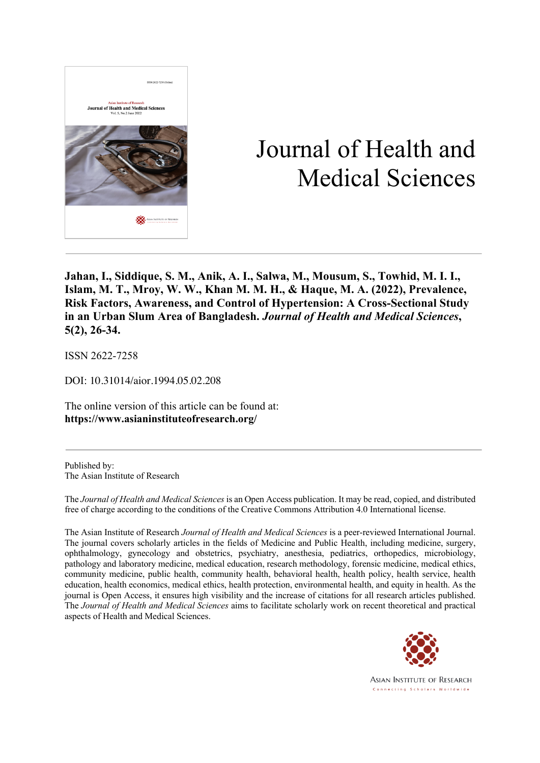

# Journal of Health and Medical Sciences

**Jahan, I., Siddique, S. M., Anik, A. I., Salwa, M., Mousum, S., Towhid, M. I. I., Islam, M. T., Mroy, W. W., Khan M. M. H., & Haque, M. A. (2022), Prevalence, Risk Factors, Awareness, and Control of Hypertension: A Cross-Sectional Study in an Urban Slum Area of Bangladesh.** *Journal of Health and Medical Sciences***, 5(2), 26-34.**

ISSN 2622-7258

DOI: 10.31014/aior.1994.05.02.208

The online version of this article can be found at: **https://www.asianinstituteofresearch.org/**

Published by: The Asian Institute of Research

The *Journal of Health and Medical Sciences* is an Open Access publication. It may be read, copied, and distributed free of charge according to the conditions of the Creative Commons Attribution 4.0 International license.

The Asian Institute of Research *Journal of Health and Medical Sciences* is a peer-reviewed International Journal. The journal covers scholarly articles in the fields of Medicine and Public Health, including medicine, surgery, ophthalmology, gynecology and obstetrics, psychiatry, anesthesia, pediatrics, orthopedics, microbiology, pathology and laboratory medicine, medical education, research methodology, forensic medicine, medical ethics, community medicine, public health, community health, behavioral health, health policy, health service, health education, health economics, medical ethics, health protection, environmental health, and equity in health. As the journal is Open Access, it ensures high visibility and the increase of citations for all research articles published. The *Journal of Health and Medical Sciences* aims to facilitate scholarly work on recent theoretical and practical aspects of Health and Medical Sciences.



**ASIAN INSTITUTE OF RESEARCH** Connecting Scholars Worldwide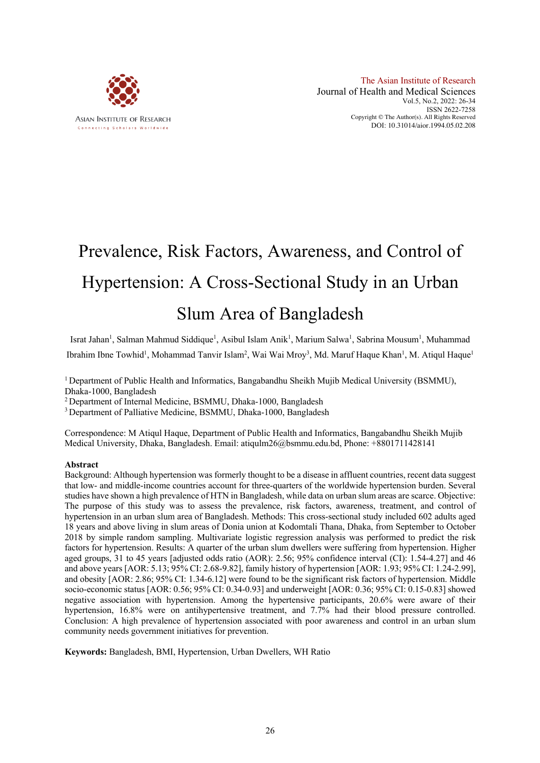

# Prevalence, Risk Factors, Awareness, and Control of Hypertension: A Cross-Sectional Study in an Urban Slum Area of Bangladesh

Israt Jahan<sup>1</sup>, Salman Mahmud Siddique<sup>1</sup>, Asibul Islam Anik<sup>1</sup>, Marium Salwa<sup>1</sup>, Sabrina Mousum<sup>1</sup>, Muhammad Ibrahim Ibne Towhid<sup>1</sup>, Mohammad Tanvir Islam<sup>2</sup>, Wai Wai Mroy<sup>3</sup>, Md. Maruf Haque Khan<sup>1</sup>, M. Atiqul Haque<sup>1</sup>

<sup>1</sup> Department of Public Health and Informatics, Bangabandhu Sheikh Mujib Medical University (BSMMU), Dhaka-1000, Bangladesh

2 Department of Internal Medicine, BSMMU, Dhaka-1000, Bangladesh

<sup>3</sup> Department of Palliative Medicine, BSMMU, Dhaka-1000, Bangladesh

Correspondence: M Atiqul Haque, Department of Public Health and Informatics, Bangabandhu Sheikh Mujib Medical University, Dhaka, Bangladesh. Email: atiqulm26@bsmmu.edu.bd, Phone: +8801711428141

#### **Abstract**

Background: Although hypertension was formerly thought to be a disease in affluent countries, recent data suggest that low- and middle-income countries account for three-quarters of the worldwide hypertension burden. Several studies have shown a high prevalence of HTN in Bangladesh, while data on urban slum areas are scarce. Objective: The purpose of this study was to assess the prevalence, risk factors, awareness, treatment, and control of hypertension in an urban slum area of Bangladesh. Methods: This cross-sectional study included 602 adults aged 18 years and above living in slum areas of Donia union at Kodomtali Thana, Dhaka, from September to October 2018 by simple random sampling. Multivariate logistic regression analysis was performed to predict the risk factors for hypertension. Results: A quarter of the urban slum dwellers were suffering from hypertension. Higher aged groups, 31 to 45 years [adjusted odds ratio (AOR): 2.56; 95% confidence interval (CI): 1.54-4.27] and 46 and above years [AOR: 5.13; 95% CI: 2.68-9.82], family history of hypertension [AOR: 1.93; 95% CI: 1.24-2.99], and obesity [AOR: 2.86; 95% CI: 1.34-6.12] were found to be the significant risk factors of hypertension. Middle socio-economic status [AOR: 0.56; 95% CI: 0.34-0.93] and underweight [AOR: 0.36; 95% CI: 0.15-0.83] showed negative association with hypertension. Among the hypertensive participants, 20.6% were aware of their hypertension, 16.8% were on antihypertensive treatment, and 7.7% had their blood pressure controlled. Conclusion: A high prevalence of hypertension associated with poor awareness and control in an urban slum community needs government initiatives for prevention.

**Keywords:** Bangladesh, BMI, Hypertension, Urban Dwellers, WH Ratio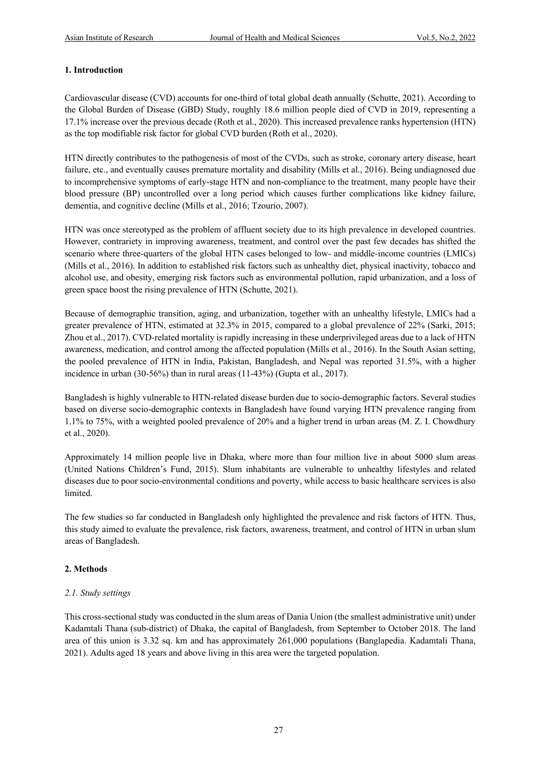# **1. Introduction**

Cardiovascular disease (CVD) accounts for one-third of total global death annually (Schutte, 2021). According to the Global Burden of Disease (GBD) Study, roughly 18.6 million people died of CVD in 2019, representing a 17.1% increase over the previous decade (Roth et al., 2020). This increased prevalence ranks hypertension (HTN) as the top modifiable risk factor for global CVD burden (Roth et al., 2020).

HTN directly contributes to the pathogenesis of most of the CVDs, such as stroke, coronary artery disease, heart failure, etc., and eventually causes premature mortality and disability (Mills et al., 2016). Being undiagnosed due to incomprehensive symptoms of early-stage HTN and non-compliance to the treatment, many people have their blood pressure (BP) uncontrolled over a long period which causes further complications like kidney failure, dementia, and cognitive decline (Mills et al., 2016; Tzourio, 2007).

HTN was once stereotyped as the problem of affluent society due to its high prevalence in developed countries. However, contrariety in improving awareness, treatment, and control over the past few decades has shifted the scenario where three-quarters of the global HTN cases belonged to low- and middle-income countries (LMICs) (Mills et al., 2016). In addition to established risk factors such as unhealthy diet, physical inactivity, tobacco and alcohol use, and obesity, emerging risk factors such as environmental pollution, rapid urbanization, and a loss of green space boost the rising prevalence of HTN (Schutte, 2021).

Because of demographic transition, aging, and urbanization, together with an unhealthy lifestyle, LMICs had a greater prevalence of HTN, estimated at 32.3% in 2015, compared to a global prevalence of 22% (Sarki, 2015; Zhou et al., 2017). CVD-related mortality is rapidly increasing in these underprivileged areas due to a lack of HTN awareness, medication, and control among the affected population (Mills et al., 2016). In the South Asian setting, the pooled prevalence of HTN in India, Pakistan, Bangladesh, and Nepal was reported 31.5%, with a higher incidence in urban (30-56%) than in rural areas (11-43%) (Gupta et al., 2017).

Bangladesh is highly vulnerable to HTN-related disease burden due to socio-demographic factors. Several studies based on diverse socio-demographic contexts in Bangladesh have found varying HTN prevalence ranging from 1.1% to 75%, with a weighted pooled prevalence of 20% and a higher trend in urban areas (M. Z. I. Chowdhury et al., 2020).

Approximately 14 million people live in Dhaka, where more than four million live in about 5000 slum areas (United Nations Children's Fund, 2015). Slum inhabitants are vulnerable to unhealthy lifestyles and related diseases due to poor socio-environmental conditions and poverty, while access to basic healthcare services is also limited.

The few studies so far conducted in Bangladesh only highlighted the prevalence and risk factors of HTN. Thus, this study aimed to evaluate the prevalence, risk factors, awareness, treatment, and control of HTN in urban slum areas of Bangladesh.

# **2. Methods**

# *2.1. Study settings*

This cross-sectional study was conducted in the slum areas of Dania Union (the smallest administrative unit) under Kadamtali Thana (sub-district) of Dhaka, the capital of Bangladesh, from September to October 2018. The land area of this union is 3.32 sq. km and has approximately 261,000 populations (Banglapedia. Kadamtali Thana, 2021). Adults aged 18 years and above living in this area were the targeted population.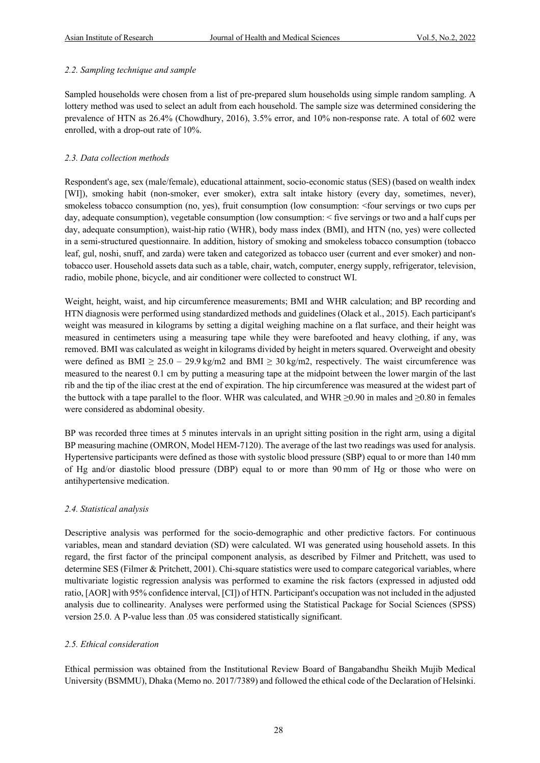#### *2.2. Sampling technique and sample*

Sampled households were chosen from a list of pre-prepared slum households using simple random sampling. A lottery method was used to select an adult from each household. The sample size was determined considering the prevalence of HTN as 26.4% (Chowdhury, 2016), 3.5% error, and 10% non-response rate. A total of 602 were enrolled, with a drop-out rate of 10%.

# *2.3. Data collection methods*

Respondent's age, sex (male/female), educational attainment, socio-economic status (SES) (based on wealth index [WI]), smoking habit (non-smoker, ever smoker), extra salt intake history (every day, sometimes, never), smokeless tobacco consumption (no, yes), fruit consumption (low consumption: <four servings or two cups per day, adequate consumption), vegetable consumption (low consumption: < five servings or two and a half cups per day, adequate consumption), waist-hip ratio (WHR), body mass index (BMI), and HTN (no, yes) were collected in a semi-structured questionnaire. In addition, history of smoking and smokeless tobacco consumption (tobacco leaf, gul, noshi, snuff, and zarda) were taken and categorized as tobacco user (current and ever smoker) and nontobacco user. Household assets data such as a table, chair, watch, computer, energy supply, refrigerator, television, radio, mobile phone, bicycle, and air conditioner were collected to construct WI.

Weight, height, waist, and hip circumference measurements; BMI and WHR calculation; and BP recording and HTN diagnosis were performed using standardized methods and guidelines (Olack et al., 2015). Each participant's weight was measured in kilograms by setting a digital weighing machine on a flat surface, and their height was measured in centimeters using a measuring tape while they were barefooted and heavy clothing, if any, was removed. BMI was calculated as weight in kilograms divided by height in meters squared. Overweight and obesity were defined as BMI  $\geq 25.0 - 29.9$  kg/m2 and BMI  $\geq 30$  kg/m2, respectively. The waist circumference was measured to the nearest 0.1 cm by putting a measuring tape at the midpoint between the lower margin of the last rib and the tip of the iliac crest at the end of expiration. The hip circumference was measured at the widest part of the buttock with a tape parallel to the floor. WHR was calculated, and WHR  $\geq$ 0.90 in males and  $\geq$ 0.80 in females were considered as abdominal obesity.

BP was recorded three times at 5 minutes intervals in an upright sitting position in the right arm, using a digital BP measuring machine (OMRON, Model HEM-7120). The average of the last two readings was used for analysis. Hypertensive participants were defined as those with systolic blood pressure (SBP) equal to or more than 140 mm of Hg and/or diastolic blood pressure (DBP) equal to or more than 90 mm of Hg or those who were on antihypertensive medication.

# *2.4. Statistical analysis*

Descriptive analysis was performed for the socio-demographic and other predictive factors. For continuous variables, mean and standard deviation (SD) were calculated. WI was generated using household assets. In this regard, the first factor of the principal component analysis, as described by Filmer and Pritchett, was used to determine SES (Filmer & Pritchett, 2001). Chi-square statistics were used to compare categorical variables, where multivariate logistic regression analysis was performed to examine the risk factors (expressed in adjusted odd ratio, [AOR] with 95% confidence interval, [CI]) of HTN. Participant's occupation was not included in the adjusted analysis due to collinearity. Analyses were performed using the Statistical Package for Social Sciences (SPSS) version 25.0. A P-value less than .05 was considered statistically significant.

# *2.5. Ethical consideration*

Ethical permission was obtained from the Institutional Review Board of Bangabandhu Sheikh Mujib Medical University (BSMMU), Dhaka (Memo no. 2017/7389) and followed the ethical code of the Declaration of Helsinki.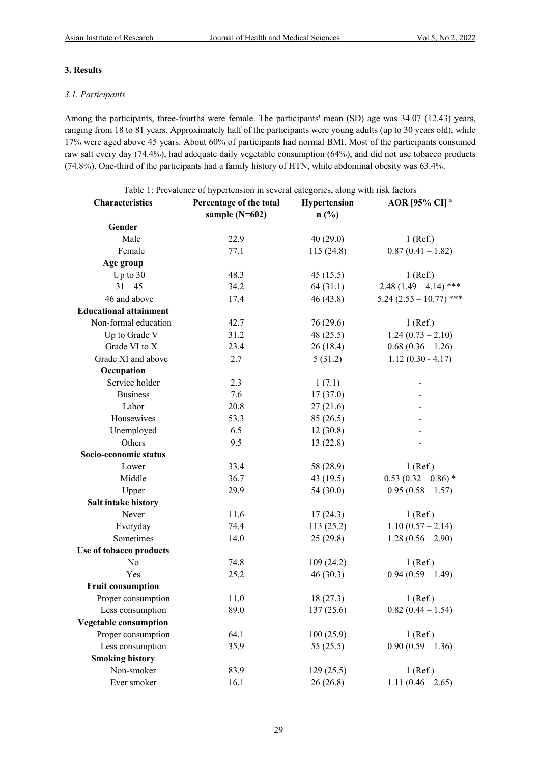#### **3. Results**

#### *3.1. Participants*

Among the participants, three-fourths were female. The participants' mean (SD) age was 34.07 (12.43) years, ranging from 18 to 81 years. Approximately half of the participants were young adults (up to 30 years old), while 17% were aged above 45 years. About 60% of participants had normal BMI. Most of the participants consumed raw salt every day (74.4%), had adequate daily vegetable consumption (64%), and did not use tobacco products (74.8%). One-third of the participants had a family history of HTN, while abdominal obesity was 63.4%.

| Characteristics               | Percentage of the total | Hypertension | AOR [95% CI] <sup>a</sup> |
|-------------------------------|-------------------------|--------------|---------------------------|
|                               | sample $(N=602)$        | $n$ (%)      |                           |
| Gender                        |                         |              |                           |
| Male                          | 22.9                    | 40(29.0)     | $1$ (Ref.)                |
| Female                        | 77.1                    | 115(24.8)    | $0.87(0.41 - 1.82)$       |
| Age group                     |                         |              |                           |
| Up to 30                      | 48.3                    | 45(15.5)     | $1$ (Ref.)                |
| $31 - 45$                     | 34.2                    | 64(31.1)     | $2.48(1.49 - 4.14)$ ***   |
| 46 and above                  | 17.4                    | 46(43.8)     | $5.24(2.55 - 10.77)$ ***  |
| <b>Educational attainment</b> |                         |              |                           |
| Non-formal education          | 42.7                    | 76 (29.6)    | $1$ (Ref.)                |
| Up to Grade V                 | 31.2                    | 48(25.5)     | $1.24(0.73-2.10)$         |
| Grade VI to X                 | 23.4                    | 26(18.4)     | $0.68(0.36 - 1.26)$       |
| Grade XI and above            | 2.7                     | 5(31.2)      | $1.12(0.30 - 4.17)$       |
| Occupation                    |                         |              |                           |
| Service holder                | 2.3                     | 1(7.1)       | $\overline{\phantom{0}}$  |
| <b>Business</b>               | 7.6                     | 17(37.0)     |                           |
| Labor                         | 20.8                    | 27(21.6)     |                           |
| Housewives                    | 53.3                    | 85(26.5)     |                           |
| Unemployed                    | 6.5                     | 12(30.8)     |                           |
| Others                        | 9.5                     | 13(22.8)     |                           |
| Socio-economic status         |                         |              |                           |
| Lower                         | 33.4                    | 58 (28.9)    | $1$ (Ref.)                |
| Middle                        | 36.7                    | 43(19.5)     | $0.53(0.32-0.86)$ *       |
| Upper                         | 29.9                    | 54 (30.0)    | $0.95(0.58 - 1.57)$       |
| Salt intake history           |                         |              |                           |
| Never                         | 11.6                    | 17(24.3)     | $1$ (Ref.)                |
| Everyday                      | 74.4                    | 113(25.2)    | $1.10(0.57 - 2.14)$       |
| Sometimes                     | 14.0                    | 25(29.8)     | $1.28(0.56 - 2.90)$       |
| Use of tobacco products       |                         |              |                           |
| No                            | 74.8                    | 109(24.2)    | $1$ (Ref.)                |
| Yes                           | 25.2                    | 46(30.3)     | $0.94(0.59 - 1.49)$       |
| <b>Fruit consumption</b>      |                         |              |                           |
| Proper consumption            | 11.0                    | 18(27.3)     | $1$ (Ref.)                |
| Less consumption              | 89.0                    | 137(25.6)    | $0.82(0.44 - 1.54)$       |
| Vegetable consumption         |                         |              |                           |
| Proper consumption            | 64.1                    | 100(25.9)    | $1$ (Ref.)                |
| Less consumption              | 35.9                    | 55(25.5)     | $0.90(0.59 - 1.36)$       |
| <b>Smoking history</b>        |                         |              |                           |
| Non-smoker                    | 83.9                    | 129(25.5)    | $1$ (Ref.)                |
| Ever smoker                   | 16.1                    | 26(26.8)     | 1.11 $(0.46 - 2.65)$      |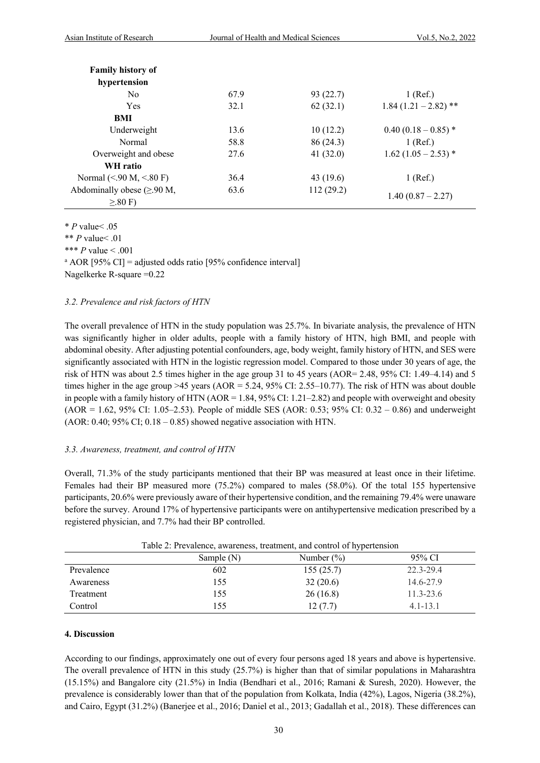| <b>Family history of</b>                |      |           |                        |
|-----------------------------------------|------|-----------|------------------------|
| hypertension                            |      |           |                        |
| N <sub>0</sub>                          | 67.9 | 93 (22.7) | $1$ (Ref.)             |
| Yes                                     | 32.1 | 62(32.1)  | $1.84(1.21-2.82)$ **   |
| BMI                                     |      |           |                        |
| Underweight                             | 13.6 | 10(12.2)  | $0.40(0.18-0.85)$ *    |
| Normal                                  | 58.8 | 86 (24.3) | $1$ (Ref.)             |
| Overweight and obese                    | 27.6 | 41(32.0)  | $1.62$ (1.05 – 2.53) * |
| WH ratio                                |      |           |                        |
| Normal (<.90 M, <.80 F)                 | 36.4 | 43 (19.6) | 1 (Ref.)               |
| Abdominally obese $(\geq 90 \text{ M},$ | 63.6 | 112(29.2) |                        |
| $\geq 80$ F)                            |      |           | $1.40(0.87 - 2.27)$    |

\* *P* value< .05

\*\* *P* value< .01

\*\*\* *P* value < .001<br>  $^*$  AOR [95% CI] = adjusted odds ratio [95% confidence interval]

Nagelkerke R-square =0.22

#### *3.2. Prevalence and risk factors of HTN*

The overall prevalence of HTN in the study population was 25.7%. In bivariate analysis, the prevalence of HTN was significantly higher in older adults, people with a family history of HTN, high BMI, and people with abdominal obesity. After adjusting potential confounders, age, body weight, family history of HTN, and SES were significantly associated with HTN in the logistic regression model. Compared to those under 30 years of age, the risk of HTN was about 2.5 times higher in the age group 31 to 45 years (AOR= 2.48, 95% CI: 1.49–4.14) and 5 times higher in the age group >45 years ( $AOR = 5.24$ , 95% CI: 2.55–10.77). The risk of HTN was about double in people with a family history of HTN  $(AOR = 1.84, 95\% \text{ CI: } 1.21-2.82)$  and people with overweight and obesity (AOR = 1.62, 95% CI: 1.05–2.53). People of middle SES (AOR: 0.53; 95% CI: 0.32 – 0.86) and underweight (AOR:  $0.40$ ;  $95\%$  CI;  $0.18 - 0.85$ ) showed negative association with HTN.

# *3.3. Awareness, treatment, and control of HTN*

Overall, 71.3% of the study participants mentioned that their BP was measured at least once in their lifetime. Females had their BP measured more (75.2%) compared to males (58.0%). Of the total 155 hypertensive participants, 20.6% were previously aware of their hypertensive condition, and the remaining 79.4% were unaware before the survey. Around 17% of hypertensive participants were on antihypertensive medication prescribed by a registered physician, and 7.7% had their BP controlled.

|            | Table 2. Flevalence, awareliess, treatment, and control of hypertension |               |               |  |  |
|------------|-------------------------------------------------------------------------|---------------|---------------|--|--|
|            | Sample $(N)$                                                            | Number $(\%)$ | 95% CI        |  |  |
| Prevalence | 602                                                                     | 155(25.7)     | 22.3-29.4     |  |  |
| Awareness  | 155                                                                     | 32(20.6)      | 14.6-27.9     |  |  |
| Treatment  | 155                                                                     | 26(16.8)      | $11.3 - 23.6$ |  |  |
| Control    | 155                                                                     | 12(7.7)       | $4.1 - 13.1$  |  |  |

# Table 2: Prevalence, awareness, treatment, and control of hypertension

#### **4. Discussion**

According to our findings, approximately one out of every four persons aged 18 years and above is hypertensive. The overall prevalence of HTN in this study (25.7%) is higher than that of similar populations in Maharashtra (15.15%) and Bangalore city (21.5%) in India (Bendhari et al., 2016; Ramani & Suresh, 2020). However, the prevalence is considerably lower than that of the population from Kolkata, India (42%), Lagos, Nigeria (38.2%), and Cairo, Egypt (31.2%) (Banerjee et al., 2016; Daniel et al., 2013; Gadallah et al., 2018). These differences can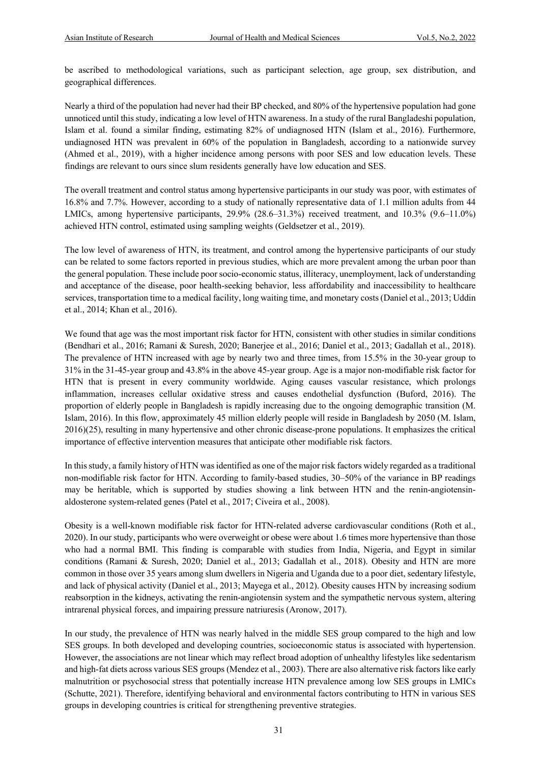be ascribed to methodological variations, such as participant selection, age group, sex distribution, and geographical differences.

Nearly a third of the population had never had their BP checked, and 80% of the hypertensive population had gone unnoticed until this study, indicating a low level of HTN awareness. In a study of the rural Bangladeshi population, Islam et al. found a similar finding, estimating 82% of undiagnosed HTN (Islam et al., 2016). Furthermore, undiagnosed HTN was prevalent in 60% of the population in Bangladesh, according to a nationwide survey (Ahmed et al., 2019), with a higher incidence among persons with poor SES and low education levels. These findings are relevant to ours since slum residents generally have low education and SES.

The overall treatment and control status among hypertensive participants in our study was poor, with estimates of 16.8% and 7.7%. However, according to a study of nationally representative data of 1.1 million adults from 44 LMICs, among hypertensive participants, 29.9% (28.6–31.3%) received treatment, and 10.3% (9.6–11.0%) achieved HTN control, estimated using sampling weights (Geldsetzer et al., 2019).

The low level of awareness of HTN, its treatment, and control among the hypertensive participants of our study can be related to some factors reported in previous studies, which are more prevalent among the urban poor than the general population. These include poor socio-economic status, illiteracy, unemployment, lack of understanding and acceptance of the disease, poor health-seeking behavior, less affordability and inaccessibility to healthcare services, transportation time to a medical facility, long waiting time, and monetary costs (Daniel et al., 2013; Uddin et al., 2014; Khan et al., 2016).

We found that age was the most important risk factor for HTN, consistent with other studies in similar conditions (Bendhari et al., 2016; Ramani & Suresh, 2020; Banerjee et al., 2016; Daniel et al., 2013; Gadallah et al., 2018). The prevalence of HTN increased with age by nearly two and three times, from 15.5% in the 30-year group to 31% in the 31-45-year group and 43.8% in the above 45-year group. Age is a major non-modifiable risk factor for HTN that is present in every community worldwide. Aging causes vascular resistance, which prolongs inflammation, increases cellular oxidative stress and causes endothelial dysfunction (Buford, 2016). The proportion of elderly people in Bangladesh is rapidly increasing due to the ongoing demographic transition (M. Islam, 2016). In this flow, approximately 45 million elderly people will reside in Bangladesh by 2050 (M. Islam, 2016)(25), resulting in many hypertensive and other chronic disease-prone populations. It emphasizes the critical importance of effective intervention measures that anticipate other modifiable risk factors.

In this study, a family history of HTN was identified as one of the major risk factors widely regarded as a traditional non-modifiable risk factor for HTN. According to family-based studies, 30–50% of the variance in BP readings may be heritable, which is supported by studies showing a link between HTN and the renin-angiotensinaldosterone system-related genes (Patel et al., 2017; Civeira et al., 2008).

Obesity is a well-known modifiable risk factor for HTN-related adverse cardiovascular conditions (Roth et al., 2020). In our study, participants who were overweight or obese were about 1.6 times more hypertensive than those who had a normal BMI. This finding is comparable with studies from India, Nigeria, and Egypt in similar conditions (Ramani & Suresh, 2020; Daniel et al., 2013; Gadallah et al., 2018). Obesity and HTN are more common in those over 35 years among slum dwellers in Nigeria and Uganda due to a poor diet, sedentary lifestyle, and lack of physical activity (Daniel et al., 2013; Mayega et al., 2012). Obesity causes HTN by increasing sodium reabsorption in the kidneys, activating the renin-angiotensin system and the sympathetic nervous system, altering intrarenal physical forces, and impairing pressure natriuresis (Aronow, 2017).

In our study, the prevalence of HTN was nearly halved in the middle SES group compared to the high and low SES groups. In both developed and developing countries, socioeconomic status is associated with hypertension. However, the associations are not linear which may reflect broad adoption of unhealthy lifestyles like sedentarism and high-fat diets across various SES groups (Mendez et al., 2003). There are also alternative risk factors like early malnutrition or psychosocial stress that potentially increase HTN prevalence among low SES groups in LMICs (Schutte, 2021). Therefore, identifying behavioral and environmental factors contributing to HTN in various SES groups in developing countries is critical for strengthening preventive strategies.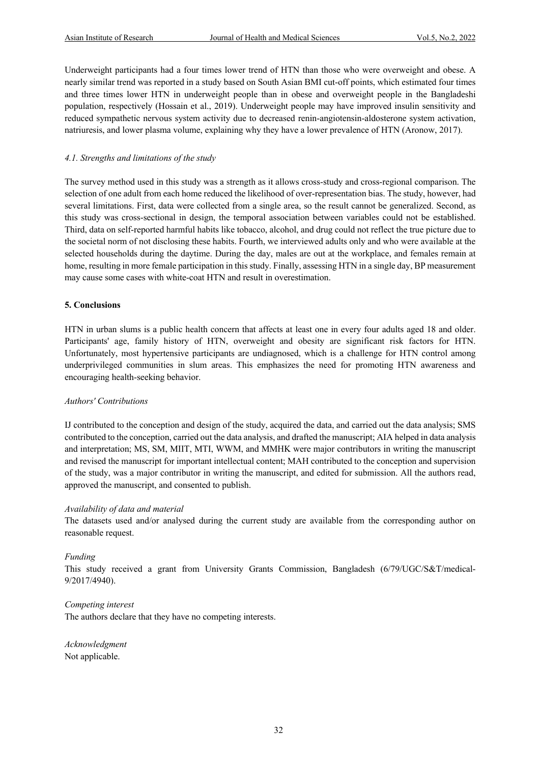Underweight participants had a four times lower trend of HTN than those who were overweight and obese. A nearly similar trend was reported in a study based on South Asian BMI cut-off points, which estimated four times and three times lower HTN in underweight people than in obese and overweight people in the Bangladeshi population, respectively (Hossain et al., 2019). Underweight people may have improved insulin sensitivity and reduced sympathetic nervous system activity due to decreased renin-angiotensin-aldosterone system activation, natriuresis, and lower plasma volume, explaining why they have a lower prevalence of HTN (Aronow, 2017).

#### *4.1. Strengths and limitations of the study*

The survey method used in this study was a strength as it allows cross-study and cross-regional comparison. The selection of one adult from each home reduced the likelihood of over-representation bias. The study, however, had several limitations. First, data were collected from a single area, so the result cannot be generalized. Second, as this study was cross-sectional in design, the temporal association between variables could not be established. Third, data on self-reported harmful habits like tobacco, alcohol, and drug could not reflect the true picture due to the societal norm of not disclosing these habits. Fourth, we interviewed adults only and who were available at the selected households during the daytime. During the day, males are out at the workplace, and females remain at home, resulting in more female participation in this study. Finally, assessing HTN in a single day, BP measurement may cause some cases with white-coat HTN and result in overestimation.

#### **5. Conclusions**

HTN in urban slums is a public health concern that affects at least one in every four adults aged 18 and older. Participants' age, family history of HTN, overweight and obesity are significant risk factors for HTN. Unfortunately, most hypertensive participants are undiagnosed, which is a challenge for HTN control among underprivileged communities in slum areas. This emphasizes the need for promoting HTN awareness and encouraging health-seeking behavior.

#### *Authors' Contributions*

IJ contributed to the conception and design of the study, acquired the data, and carried out the data analysis; SMS contributed to the conception, carried out the data analysis, and drafted the manuscript; AIA helped in data analysis and interpretation; MS, SM, MIIT, MTI, WWM, and MMHK were major contributors in writing the manuscript and revised the manuscript for important intellectual content; MAH contributed to the conception and supervision of the study, was a major contributor in writing the manuscript, and edited for submission. All the authors read, approved the manuscript, and consented to publish.

#### *Availability of data and material*

The datasets used and/or analysed during the current study are available from the corresponding author on reasonable request.

#### *Funding*

This study received a grant from University Grants Commission, Bangladesh (6/79/UGC/S&T/medical-9/2017/4940).

#### *Competing interest*

The authors declare that they have no competing interests.

*Acknowledgment* Not applicable.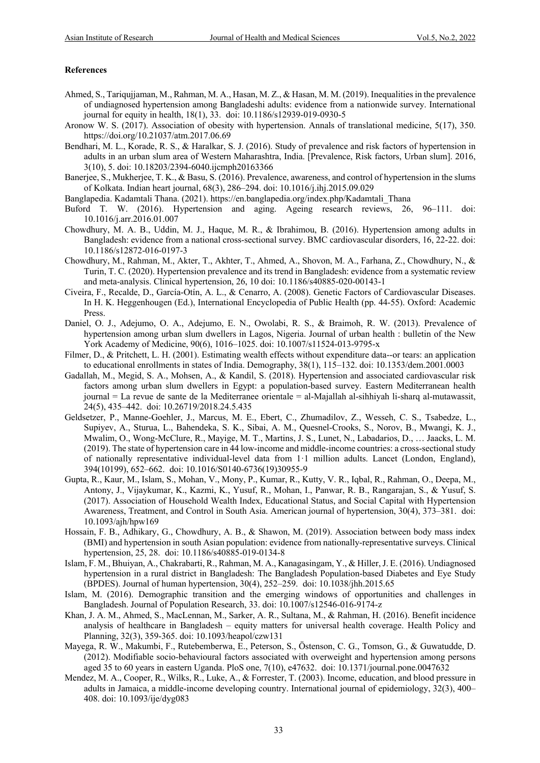#### **References**

- Ahmed, S., Tariqujjaman, M., Rahman, M. A., Hasan, M. Z., & Hasan, M. M. (2019). Inequalities in the prevalence of undiagnosed hypertension among Bangladeshi adults: evidence from a nationwide survey. International journal for equity in health, 18(1), 33. doi: 10.1186/s12939-019-0930-5
- Aronow W. S. (2017). Association of obesity with hypertension. Annals of translational medicine, 5(17), 350. https://doi.org/10.21037/atm.2017.06.69
- Bendhari, M. L., Korade, R. S., & Haralkar, S. J. (2016). Study of prevalence and risk factors of hypertension in adults in an urban slum area of Western Maharashtra, India. [Prevalence, Risk factors, Urban slum]. 2016, 3(10), 5. doi: 10.18203/2394-6040.ijcmph20163366
- Banerjee, S., Mukherjee, T. K., & Basu, S. (2016). Prevalence, awareness, and control of hypertension in the slums of Kolkata. Indian heart journal, 68(3), 286–294. doi: 10.1016/j.ihj.2015.09.029
- Banglapedia. Kadamtali Thana. (2021). https://en.banglapedia.org/index.php/Kadamtali\_Thana
- Buford T. W. (2016). Hypertension and aging. Ageing research reviews, 26, 96–111. doi: 10.1016/j.arr.2016.01.007
- Chowdhury, M. A. B., Uddin, M. J., Haque, M. R., & Ibrahimou, B. (2016). Hypertension among adults in Bangladesh: evidence from a national cross-sectional survey. BMC cardiovascular disorders, 16, 22-22. doi: 10.1186/s12872-016-0197-3
- Chowdhury, M., Rahman, M., Akter, T., Akhter, T., Ahmed, A., Shovon, M. A., Farhana, Z., Chowdhury, N., & Turin, T. C. (2020). Hypertension prevalence and its trend in Bangladesh: evidence from a systematic review and meta-analysis. Clinical hypertension, 26, 10 doi: 10.1186/s40885-020-00143-1
- Civeira, F., Recalde, D., García-Otín, A. L., & Cenarro, A. (2008). Genetic Factors of Cardiovascular Diseases. In H. K. Heggenhougen (Ed.), International Encyclopedia of Public Health (pp. 44-55). Oxford: Academic Press.
- Daniel, O. J., Adejumo, O. A., Adejumo, E. N., Owolabi, R. S., & Braimoh, R. W. (2013). Prevalence of hypertension among urban slum dwellers in Lagos, Nigeria. Journal of urban health : bulletin of the New York Academy of Medicine, 90(6), 1016–1025. doi: 10.1007/s11524-013-9795-x
- Filmer, D., & Pritchett, L. H. (2001). Estimating wealth effects without expenditure data--or tears: an application to educational enrollments in states of India. Demography, 38(1), 115–132. doi: 10.1353/dem.2001.0003
- Gadallah, M., Megid, S. A., Mohsen, A., & Kandil, S. (2018). Hypertension and associated cardiovascular risk factors among urban slum dwellers in Egypt: a population-based survey. Eastern Mediterranean health journal = La revue de sante de la Mediterranee orientale = al-Majallah al-sihhiyah li-sharq al-mutawassit, 24(5), 435–442. doi: 10.26719/2018.24.5.435
- Geldsetzer, P., Manne-Goehler, J., Marcus, M. E., Ebert, C., Zhumadilov, Z., Wesseh, C. S., Tsabedze, L., Supiyev, A., Sturua, L., Bahendeka, S. K., Sibai, A. M., Quesnel-Crooks, S., Norov, B., Mwangi, K. J., Mwalim, O., Wong-McClure, R., Mayige, M. T., Martins, J. S., Lunet, N., Labadarios, D., … Jaacks, L. M. (2019). The state of hypertension care in 44 low-income and middle-income countries: a cross-sectional study of nationally representative individual-level data from 1·1 million adults. Lancet (London, England), 394(10199), 652–662. doi: 10.1016/S0140-6736(19)30955-9
- Gupta, R., Kaur, M., Islam, S., Mohan, V., Mony, P., Kumar, R., Kutty, V. R., Iqbal, R., Rahman, O., Deepa, M., Antony, J., Vijaykumar, K., Kazmi, K., Yusuf, R., Mohan, I., Panwar, R. B., Rangarajan, S., & Yusuf, S. (2017). Association of Household Wealth Index, Educational Status, and Social Capital with Hypertension Awareness, Treatment, and Control in South Asia. American journal of hypertension, 30(4), 373–381. doi: 10.1093/ajh/hpw169
- Hossain, F. B., Adhikary, G., Chowdhury, A. B., & Shawon, M. (2019). Association between body mass index (BMI) and hypertension in south Asian population: evidence from nationally-representative surveys. Clinical hypertension, 25, 28. doi: 10.1186/s40885-019-0134-8
- Islam, F. M., Bhuiyan, A., Chakrabarti, R., Rahman, M. A., Kanagasingam, Y., & Hiller, J. E. (2016). Undiagnosed hypertension in a rural district in Bangladesh: The Bangladesh Population-based Diabetes and Eye Study (BPDES). Journal of human hypertension, 30(4), 252–259. doi: 10.1038/jhh.2015.65
- Islam, M. (2016). Demographic transition and the emerging windows of opportunities and challenges in Bangladesh. Journal of Population Research, 33. doi: 10.1007/s12546-016-9174-z
- Khan, J. A. M., Ahmed, S., MacLennan, M., Sarker, A. R., Sultana, M., & Rahman, H. (2016). Benefit incidence analysis of healthcare in Bangladesh – equity matters for universal health coverage. Health Policy and Planning, 32(3), 359-365. doi: 10.1093/heapol/czw131
- Mayega, R. W., Makumbi, F., Rutebemberwa, E., Peterson, S., Östenson, C. G., Tomson, G., & Guwatudde, D. (2012). Modifiable socio-behavioural factors associated with overweight and hypertension among persons aged 35 to 60 years in eastern Uganda. PloS one, 7(10), e47632. doi: 10.1371/journal.pone.0047632
- Mendez, M. A., Cooper, R., Wilks, R., Luke, A., & Forrester, T. (2003). Income, education, and blood pressure in adults in Jamaica, a middle-income developing country. International journal of epidemiology, 32(3), 400– 408. doi: 10.1093/ije/dyg083